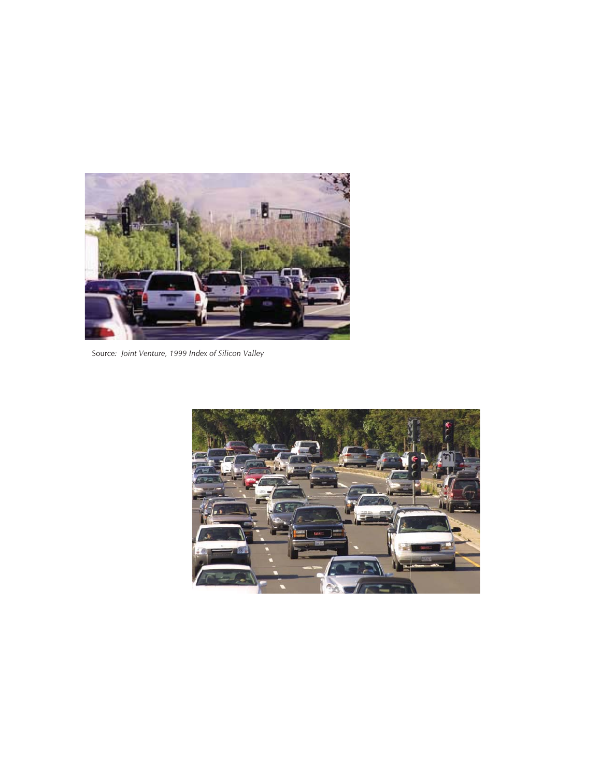

Source*: Joint Venture, 1999 Index of Silicon Valley*

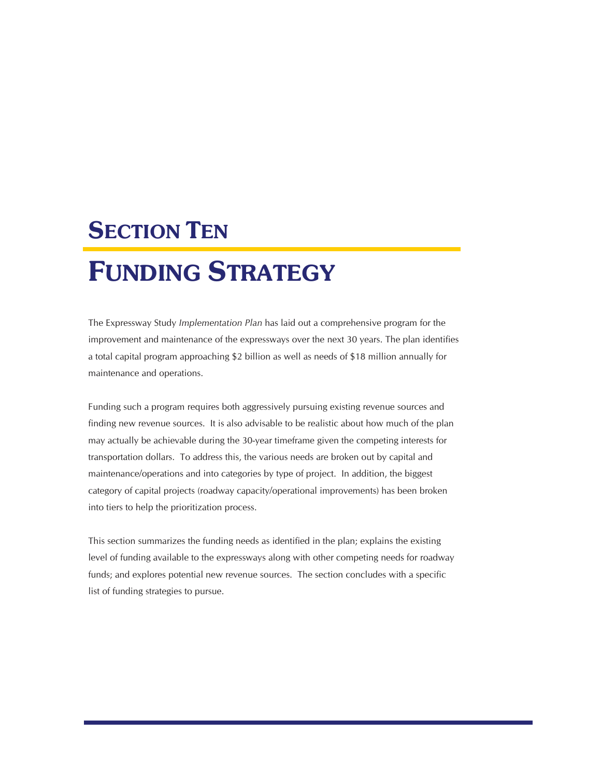# **SECTION TEN**

# FUNDING STRATEGY

The Expressway Study *Implementation Plan* has laid out a comprehensive program for the improvement and maintenance of the expressways over the next 30 years. The plan identifies a total capital program approaching \$2 billion as well as needs of \$18 million annually for maintenance and operations.

Funding such a program requires both aggressively pursuing existing revenue sources and finding new revenue sources. It is also advisable to be realistic about how much of the plan may actually be achievable during the 30-year timeframe given the competing interests for transportation dollars. To address this, the various needs are broken out by capital and maintenance/operations and into categories by type of project. In addition, the biggest category of capital projects (roadway capacity/operational improvements) has been broken into tiers to help the prioritization process.

This section summarizes the funding needs as identified in the plan; explains the existing level of funding available to the expressways along with other competing needs for roadway funds; and explores potential new revenue sources. The section concludes with a specific list of funding strategies to pursue.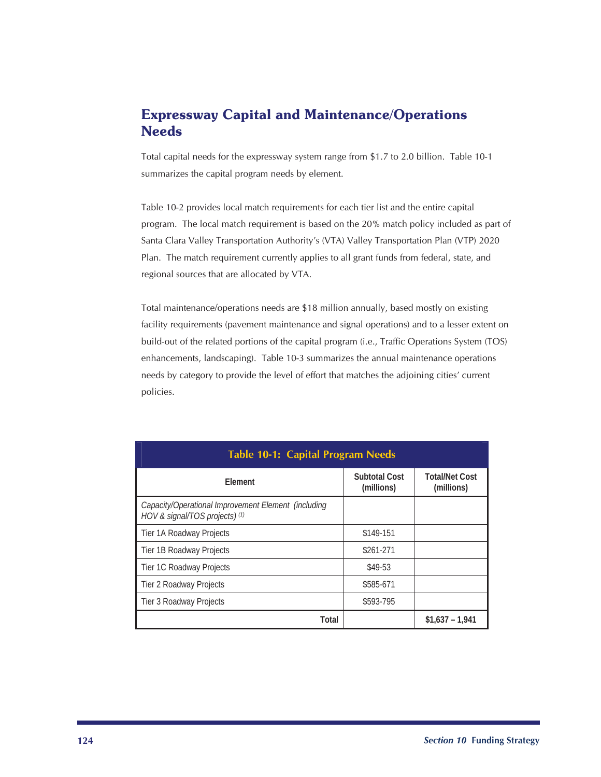# Expressway Capital and Maintenance/Operations Needs

Total capital needs for the expressway system range from \$1.7 to 2.0 billion. Table 10-1 summarizes the capital program needs by element.

Table 10-2 provides local match requirements for each tier list and the entire capital program. The local match requirement is based on the 20% match policy included as part of Santa Clara Valley Transportation Authority's (VTA) Valley Transportation Plan (VTP) 2020 Plan. The match requirement currently applies to all grant funds from federal, state, and regional sources that are allocated by VTA.

Total maintenance/operations needs are \$18 million annually, based mostly on existing facility requirements (pavement maintenance and signal operations) and to a lesser extent on build-out of the related portions of the capital program (i.e., Traffic Operations System (TOS) enhancements, landscaping). Table 10-3 summarizes the annual maintenance operations needs by category to provide the level of effort that matches the adjoining cities' current policies.

| <b>Table 10-1: Capital Program Needs</b>                                              |                                    |                                     |  |
|---------------------------------------------------------------------------------------|------------------------------------|-------------------------------------|--|
| <b>Flement</b>                                                                        | <b>Subtotal Cost</b><br>(millions) | <b>Total/Net Cost</b><br>(millions) |  |
| Capacity/Operational Improvement Element (including<br>HOV & signal/TOS projects) (1) |                                    |                                     |  |
| Tier 1A Roadway Projects                                                              | \$149-151                          |                                     |  |
| Tier 1B Roadway Projects                                                              | \$261-271                          |                                     |  |
| Tier 1C Roadway Projects                                                              | \$49-53                            |                                     |  |
| Tier 2 Roadway Projects                                                               | \$585-671                          |                                     |  |
| Tier 3 Roadway Projects                                                               | \$593-795                          |                                     |  |
| Total                                                                                 |                                    | $$1.637 - 1.941$                    |  |

#### **124** *Section 10* **Funding Strategy**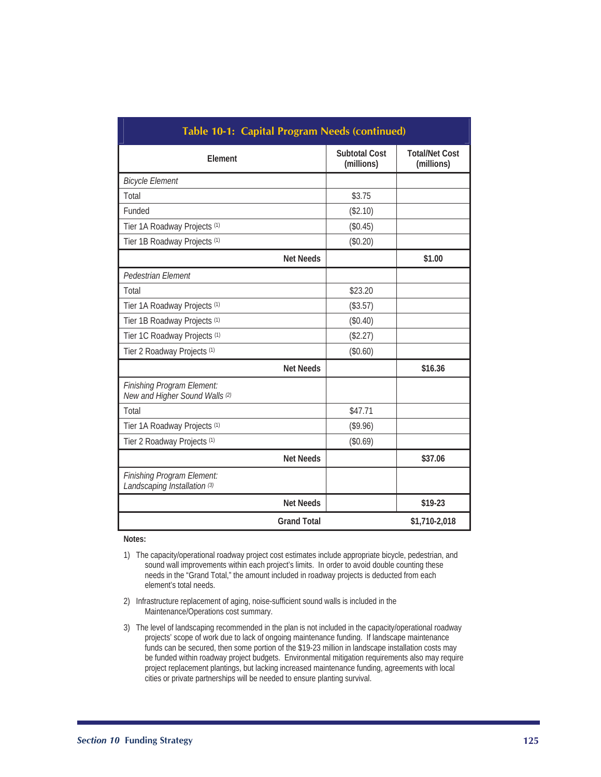| Table 10-1: Capital Program Needs (continued)                |                                    |                                     |  |
|--------------------------------------------------------------|------------------------------------|-------------------------------------|--|
| Element                                                      | <b>Subtotal Cost</b><br>(millions) | <b>Total/Net Cost</b><br>(millions) |  |
| <b>Bicycle Element</b>                                       |                                    |                                     |  |
| Total                                                        | \$3.75                             |                                     |  |
| Funded                                                       | (\$2.10)                           |                                     |  |
| Tier 1A Roadway Projects (1)                                 | (\$0.45)                           |                                     |  |
| Tier 1B Roadway Projects (1)                                 | (\$0.20)                           |                                     |  |
| <b>Net Needs</b>                                             |                                    | \$1.00                              |  |
| Pedestrian Element                                           |                                    |                                     |  |
| Total                                                        | \$23.20                            |                                     |  |
| Tier 1A Roadway Projects (1)                                 | (\$3.57)                           |                                     |  |
| Tier 1B Roadway Projects (1)                                 | (\$0.40)                           |                                     |  |
| Tier 1C Roadway Projects (1)                                 | (\$2.27)                           |                                     |  |
| Tier 2 Roadway Projects (1)                                  | (\$0.60)                           |                                     |  |
| <b>Net Needs</b>                                             |                                    | \$16.36                             |  |
| Finishing Program Element:<br>New and Higher Sound Walls (2) |                                    |                                     |  |
| Total                                                        | \$47.71                            |                                     |  |
| Tier 1A Roadway Projects (1)                                 | (\$9.96)                           |                                     |  |
| Tier 2 Roadway Projects (1)                                  | (\$0.69)                           |                                     |  |
| <b>Net Needs</b>                                             |                                    | \$37.06                             |  |
| Finishing Program Element:<br>Landscaping Installation (3)   |                                    |                                     |  |
| <b>Net Needs</b>                                             |                                    | \$19-23                             |  |
| <b>Grand Total</b>                                           |                                    | \$1,710-2,018                       |  |

#### **Notes:**

- 1) The capacity/operational roadway project cost estimates include appropriate bicycle, pedestrian, and sound wall improvements within each project's limits. In order to avoid double counting these needs in the "Grand Total," the amount included in roadway projects is deducted from each element's total needs.
- 2) Infrastructure replacement of aging, noise-sufficient sound walls is included in the Maintenance/Operations cost summary.
- 3) The level of landscaping recommended in the plan is not included in the capacity/operational roadway projects' scope of work due to lack of ongoing maintenance funding. If landscape maintenance funds can be secured, then some portion of the \$19-23 million in landscape installation costs may be funded within roadway project budgets. Environmental mitigation requirements also may require project replacement plantings, but lacking increased maintenance funding, agreements with local cities or private partnerships will be needed to ensure planting survival.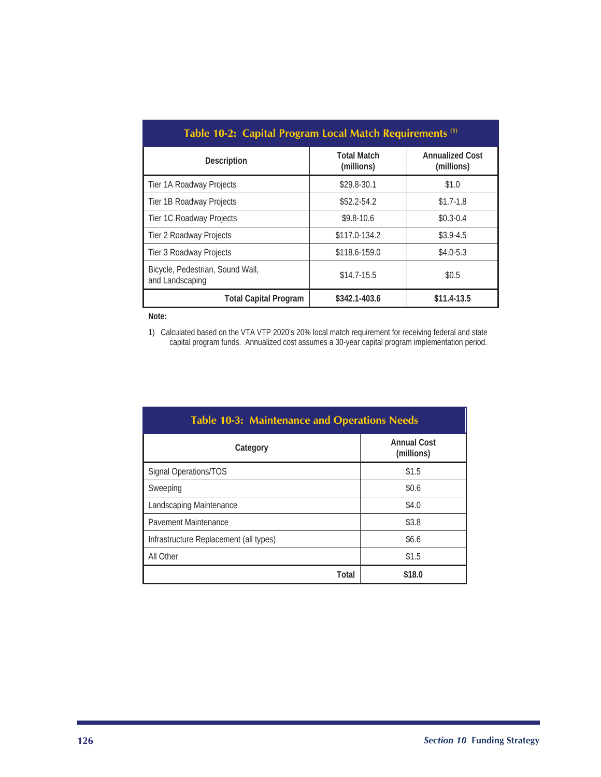| Table 10-2: Capital Program Local Match Requirements <sup>(1)</sup> |                                  |                                      |  |
|---------------------------------------------------------------------|----------------------------------|--------------------------------------|--|
| <b>Description</b>                                                  | <b>Total Match</b><br>(millions) | <b>Annualized Cost</b><br>(millions) |  |
| Tier 1A Roadway Projects                                            | \$29.8-30.1                      | \$1.0                                |  |
| Tier 1B Roadway Projects                                            | $$52.2 - 54.2$                   | $$1.7-1.8$                           |  |
| Tier 1C Roadway Projects                                            | $$9.8-10.6$                      | $$0.3 - 0.4$                         |  |
| Tier 2 Roadway Projects                                             | \$117.0-134.2                    | $$3.9-4.5$                           |  |
| Tier 3 Roadway Projects                                             | \$118.6-159.0                    | $$4.0 - 5.3$                         |  |
| Bicycle, Pedestrian, Sound Wall,<br>and Landscaping                 | $$14.7-15.5$                     | \$0.5                                |  |
| <b>Total Capital Program</b>                                        | \$342.1-403.6                    | $$11.4-13.5$                         |  |

**Note:** 

1) Calculated based on the VTA VTP 2020's 20% local match requirement for receiving federal and state capital program funds. Annualized cost assumes a 30-year capital program implementation period.

| <b>Table 10-3: Maintenance and Operations Needs</b> |                                  |  |  |
|-----------------------------------------------------|----------------------------------|--|--|
| Category                                            | <b>Annual Cost</b><br>(millions) |  |  |
| Signal Operations/TOS                               | \$1.5                            |  |  |
| Sweeping                                            | \$0.6                            |  |  |
| Landscaping Maintenance                             | \$4.0                            |  |  |
| Pavement Maintenance                                | \$3.8                            |  |  |
| Infrastructure Replacement (all types)              | \$6.6                            |  |  |
| All Other                                           | \$1.5                            |  |  |
| Total                                               | \$18.0                           |  |  |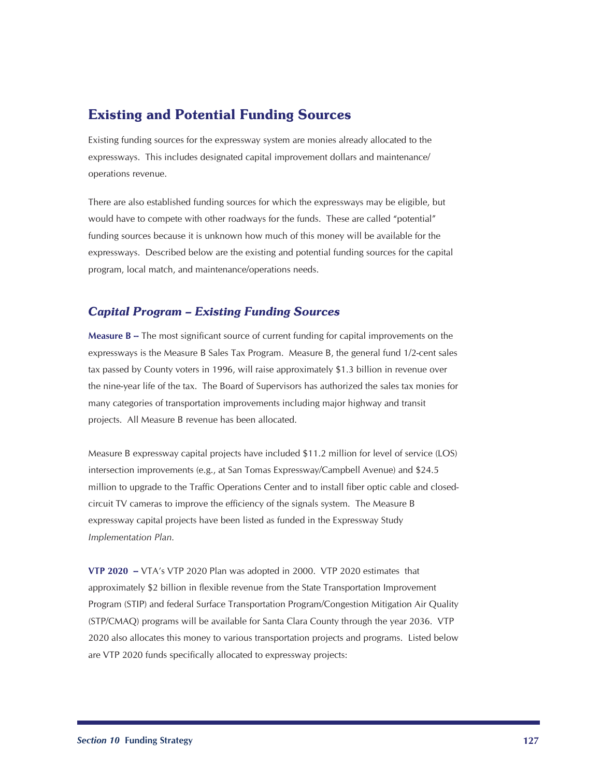## Existing and Potential Funding Sources

Existing funding sources for the expressway system are monies already allocated to the expressways. This includes designated capital improvement dollars and maintenance/ operations revenue.

There are also established funding sources for which the expressways may be eligible, but would have to compete with other roadways for the funds. These are called "potential" funding sources because it is unknown how much of this money will be available for the expressways. Described below are the existing and potential funding sources for the capital program, local match, and maintenance/operations needs.

## *Capital Program – Existing Funding Sources*

**Measure B --** The most significant source of current funding for capital improvements on the expressways is the Measure B Sales Tax Program. Measure B, the general fund 1/2-cent sales tax passed by County voters in 1996, will raise approximately \$1.3 billion in revenue over the nine-year life of the tax. The Board of Supervisors has authorized the sales tax monies for many categories of transportation improvements including major highway and transit projects. All Measure B revenue has been allocated.

Measure B expressway capital projects have included \$11.2 million for level of service (LOS) intersection improvements (e.g., at San Tomas Expressway/Campbell Avenue) and \$24.5 million to upgrade to the Traffic Operations Center and to install fiber optic cable and closedcircuit TV cameras to improve the efficiency of the signals system. The Measure B expressway capital projects have been listed as funded in the Expressway Study *Implementation Plan.*

**VTP 2020 --** VTA's VTP 2020 Plan was adopted in 2000. VTP 2020 estimates that approximately \$2 billion in flexible revenue from the State Transportation Improvement Program (STIP) and federal Surface Transportation Program/Congestion Mitigation Air Quality (STP/CMAQ) programs will be available for Santa Clara County through the year 2036. VTP 2020 also allocates this money to various transportation projects and programs. Listed below are VTP 2020 funds specifically allocated to expressway projects: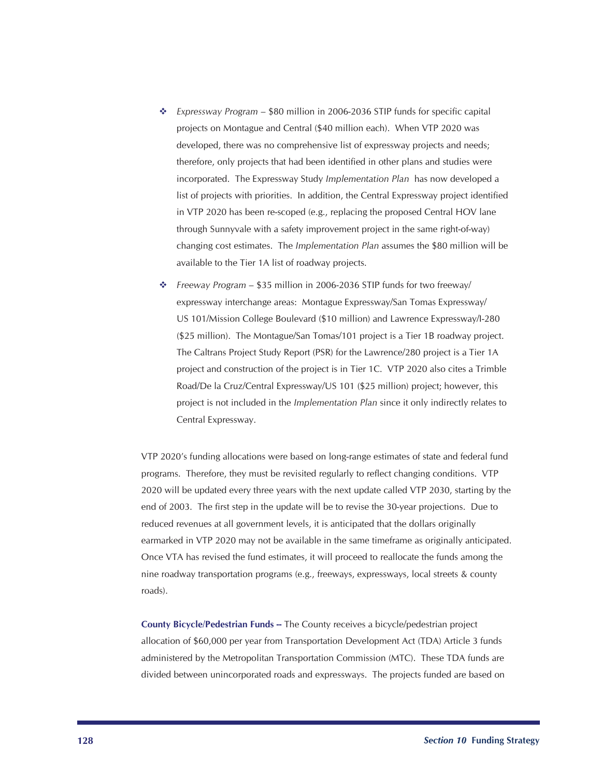- *Expressway Program*  \$80 million in 2006-2036 STIP funds for specific capital projects on Montague and Central (\$40 million each). When VTP 2020 was developed, there was no comprehensive list of expressway projects and needs; therefore, only projects that had been identified in other plans and studies were incorporated. The Expressway Study *Implementation Plan* has now developed a list of projects with priorities. In addition, the Central Expressway project identified in VTP 2020 has been re-scoped (e.g., replacing the proposed Central HOV lane through Sunnyvale with a safety improvement project in the same right-of-way) changing cost estimates. The *Implementation Plan* assumes the \$80 million will be available to the Tier 1A list of roadway projects. ÷
- *Freeway Program* \$35 million in 2006-2036 STIP funds for two freeway/ expressway interchange areas: Montague Expressway/San Tomas Expressway/ US 101/Mission College Boulevard (\$10 million) and Lawrence Expressway/I-280 (\$25 million). The Montague/San Tomas/101 project is a Tier 1B roadway project. The Caltrans Project Study Report (PSR) for the Lawrence/280 project is a Tier 1A project and construction of the project is in Tier 1C. VTP 2020 also cites a Trimble Road/De la Cruz/Central Expressway/US 101 (\$25 million) project; however, this project is not included in the *Implementation Plan* since it only indirectly relates to Central Expressway.

VTP 2020's funding allocations were based on long-range estimates of state and federal fund programs. Therefore, they must be revisited regularly to reflect changing conditions. VTP 2020 will be updated every three years with the next update called VTP 2030, starting by the end of 2003. The first step in the update will be to revise the 30-year projections. Due to reduced revenues at all government levels, it is anticipated that the dollars originally earmarked in VTP 2020 may not be available in the same timeframe as originally anticipated. Once VTA has revised the fund estimates, it will proceed to reallocate the funds among the nine roadway transportation programs (e.g., freeways, expressways, local streets & county roads).

**County Bicycle/Pedestrian Funds --** The County receives a bicycle/pedestrian project allocation of \$60,000 per year from Transportation Development Act (TDA) Article 3 funds administered by the Metropolitan Transportation Commission (MTC). These TDA funds are divided between unincorporated roads and expressways. The projects funded are based on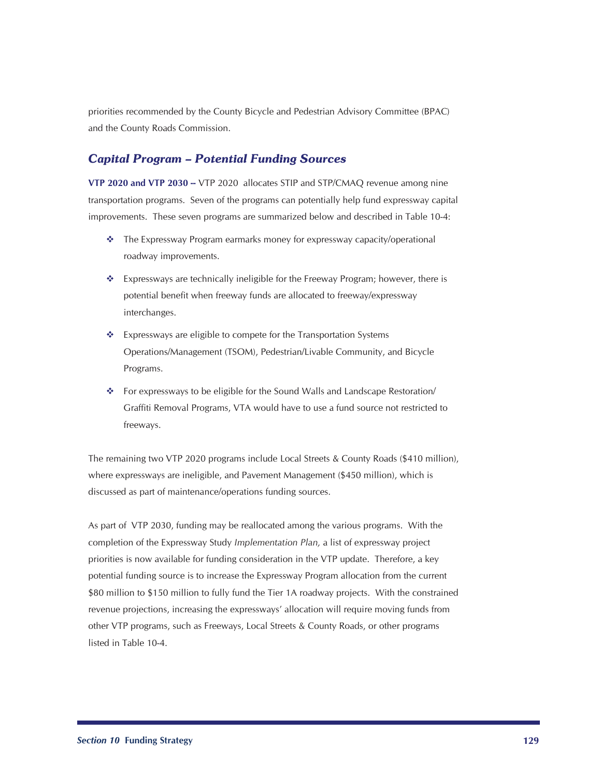priorities recommended by the County Bicycle and Pedestrian Advisory Committee (BPAC) and the County Roads Commission.

### *Capital Program – Potential Funding Sources*

**VTP 2020 and VTP 2030 -- VTP 2020 allocates STIP and STP/CMAQ revenue among nine** transportation programs. Seven of the programs can potentially help fund expressway capital improvements. These seven programs are summarized below and described in Table 10-4:

- The Expressway Program earmarks money for expressway capacity/operational roadway improvements.
- $\bullet$  Expressways are technically ineligible for the Freeway Program; however, there is potential benefit when freeway funds are allocated to freeway/expressway interchanges.
- \* Expressways are eligible to compete for the Transportation Systems Operations/Management (TSOM), Pedestrian/Livable Community, and Bicycle Programs.
- For expressways to be eligible for the Sound Walls and Landscape Restoration/ Graffiti Removal Programs, VTA would have to use a fund source not restricted to freeways.

The remaining two VTP 2020 programs include Local Streets & County Roads (\$410 million), where expressways are ineligible, and Pavement Management (\$450 million), which is discussed as part of maintenance/operations funding sources.

As part of VTP 2030, funding may be reallocated among the various programs. With the completion of the Expressway Study *Implementation Plan,* a list of expressway project priorities is now available for funding consideration in the VTP update. Therefore, a key potential funding source is to increase the Expressway Program allocation from the current \$80 million to \$150 million to fully fund the Tier 1A roadway projects. With the constrained revenue projections, increasing the expressways' allocation will require moving funds from other VTP programs, such as Freeways, Local Streets & County Roads, or other programs listed in Table 10-4.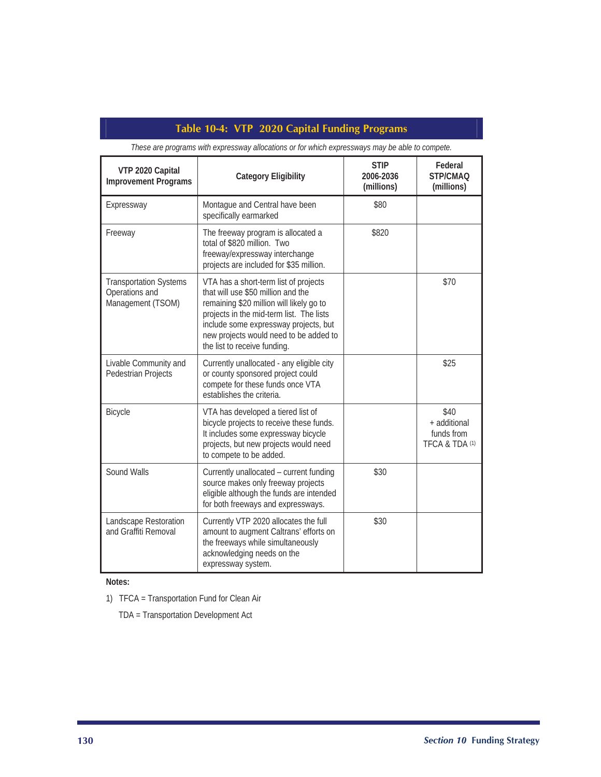## **Table 10-4: VTP 2020 Capital Funding Programs**

| VTP 2020 Capital<br><b>Improvement Programs</b>                      | <b>Category Eligibility</b>                                                                                                                                                                                                                                                            | <b>STIP</b><br>2006-2036<br>(millions) | Federal<br>STP/CMAO<br>(millions)                    |
|----------------------------------------------------------------------|----------------------------------------------------------------------------------------------------------------------------------------------------------------------------------------------------------------------------------------------------------------------------------------|----------------------------------------|------------------------------------------------------|
| Expressway                                                           | Montague and Central have been<br>specifically earmarked                                                                                                                                                                                                                               | \$80                                   |                                                      |
| Freeway                                                              | The freeway program is allocated a<br>total of \$820 million. Two<br>freeway/expressway interchange<br>projects are included for \$35 million.                                                                                                                                         | \$820                                  |                                                      |
| <b>Transportation Systems</b><br>Operations and<br>Management (TSOM) | VTA has a short-term list of projects<br>that will use \$50 million and the<br>remaining \$20 million will likely go to<br>projects in the mid-term list. The lists<br>include some expressway projects, but<br>new projects would need to be added to<br>the list to receive funding. |                                        | \$70                                                 |
| Livable Community and<br>Pedestrian Projects                         | Currently unallocated - any eligible city<br>or county sponsored project could<br>compete for these funds once VTA<br>establishes the criteria.                                                                                                                                        |                                        | \$25                                                 |
| Bicycle                                                              | VTA has developed a tiered list of<br>bicycle projects to receive these funds.<br>It includes some expressway bicycle<br>projects, but new projects would need<br>to compete to be added.                                                                                              |                                        | \$40<br>+ additional<br>funds from<br>TFCA & TDA (1) |
| Sound Walls                                                          | Currently unallocated - current funding<br>source makes only freeway projects<br>eligible although the funds are intended<br>for both freeways and expressways.                                                                                                                        | \$30                                   |                                                      |
| Landscape Restoration<br>and Graffiti Removal                        | Currently VTP 2020 allocates the full<br>amount to augment Caltrans' efforts on<br>the freeways while simultaneously<br>acknowledging needs on the<br>expressway system.                                                                                                               | \$30                                   |                                                      |

*These are programs with expressway allocations or for which expressways may be able to compete.*

**Notes:**

1) TFCA = Transportation Fund for Clean Air

TDA = Transportation Development Act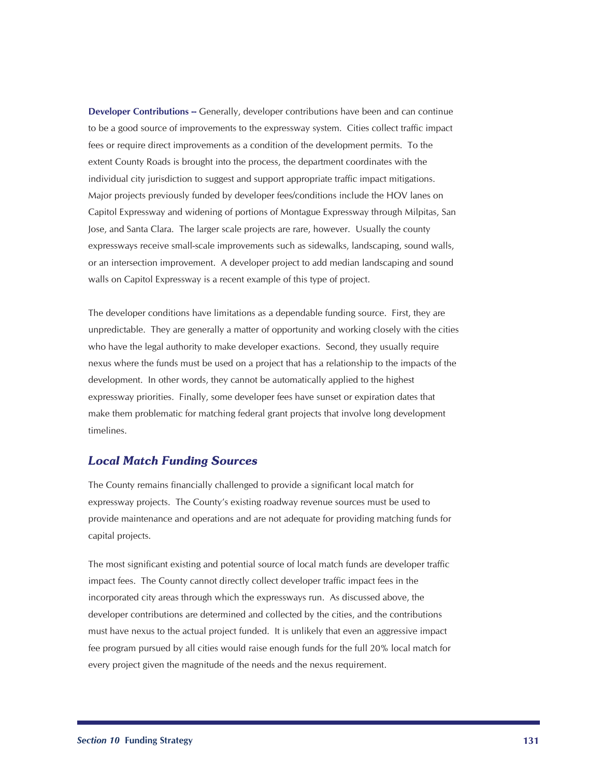**Developer Contributions --** Generally, developer contributions have been and can continue to be a good source of improvements to the expressway system. Cities collect traffic impact fees or require direct improvements as a condition of the development permits. To the extent County Roads is brought into the process, the department coordinates with the individual city jurisdiction to suggest and support appropriate traffic impact mitigations. Major projects previously funded by developer fees/conditions include the HOV lanes on Capitol Expressway and widening of portions of Montague Expressway through Milpitas, San Jose, and Santa Clara. The larger scale projects are rare, however. Usually the county expressways receive small-scale improvements such as sidewalks, landscaping, sound walls, or an intersection improvement. A developer project to add median landscaping and sound walls on Capitol Expressway is a recent example of this type of project.

The developer conditions have limitations as a dependable funding source. First, they are unpredictable. They are generally a matter of opportunity and working closely with the cities who have the legal authority to make developer exactions. Second, they usually require nexus where the funds must be used on a project that has a relationship to the impacts of the development. In other words, they cannot be automatically applied to the highest expressway priorities. Finally, some developer fees have sunset or expiration dates that make them problematic for matching federal grant projects that involve long development timelines.

#### *Local Match Funding Sources*

The County remains financially challenged to provide a significant local match for expressway projects. The County's existing roadway revenue sources must be used to provide maintenance and operations and are not adequate for providing matching funds for capital projects.

The most significant existing and potential source of local match funds are developer traffic impact fees. The County cannot directly collect developer traffic impact fees in the incorporated city areas through which the expressways run. As discussed above, the developer contributions are determined and collected by the cities, and the contributions must have nexus to the actual project funded. It is unlikely that even an aggressive impact fee program pursued by all cities would raise enough funds for the full 20% local match for every project given the magnitude of the needs and the nexus requirement.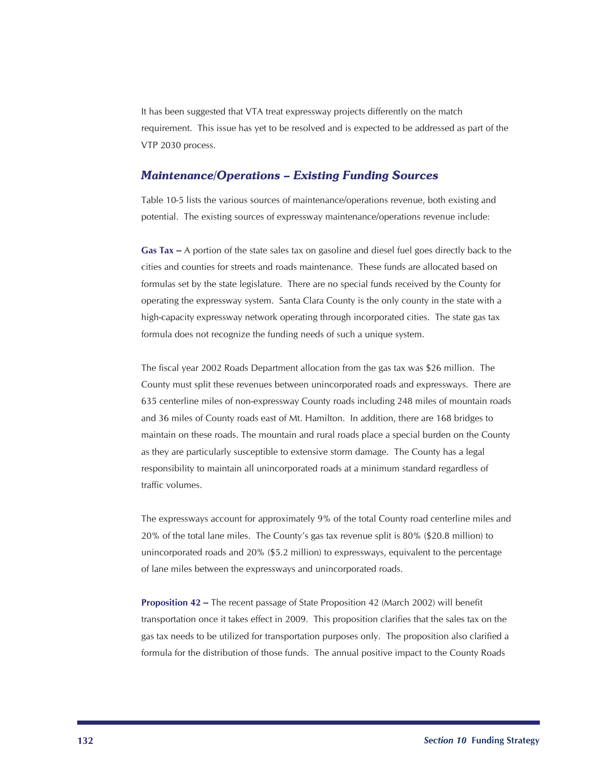It has been suggested that VTA treat expressway projects differently on the match requirement. This issue has yet to be resolved and is expected to be addressed as part of the VTP 2030 process.

#### *Maintenance/Operations – Existing Funding Sources*

Table 10-5 lists the various sources of maintenance/operations revenue, both existing and potential. The existing sources of expressway maintenance/operations revenue include:

**Gas Tax --** A portion of the state sales tax on gasoline and diesel fuel goes directly back to the cities and counties for streets and roads maintenance. These funds are allocated based on formulas set by the state legislature. There are no special funds received by the County for operating the expressway system. Santa Clara County is the only county in the state with a high-capacity expressway network operating through incorporated cities. The state gas tax formula does not recognize the funding needs of such a unique system.

The fiscal year 2002 Roads Department allocation from the gas tax was \$26 million. The County must split these revenues between unincorporated roads and expressways. There are 635 centerline miles of non-expressway County roads including 248 miles of mountain roads and 36 miles of County roads east of Mt. Hamilton. In addition, there are 168 bridges to maintain on these roads. The mountain and rural roads place a special burden on the County as they are particularly susceptible to extensive storm damage. The County has a legal responsibility to maintain all unincorporated roads at a minimum standard regardless of traffic volumes.

The expressways account for approximately 9% of the total County road centerline miles and 20% of the total lane miles. The County's gas tax revenue split is 80% (\$20.8 million) to unincorporated roads and 20% (\$5.2 million) to expressways, equivalent to the percentage of lane miles between the expressways and unincorporated roads.

**Proposition 42 --** The recent passage of State Proposition 42 (March 2002) will benefit transportation once it takes effect in 2009. This proposition clarifies that the sales tax on the gas tax needs to be utilized for transportation purposes only. The proposition also clarified a formula for the distribution of those funds. The annual positive impact to the County Roads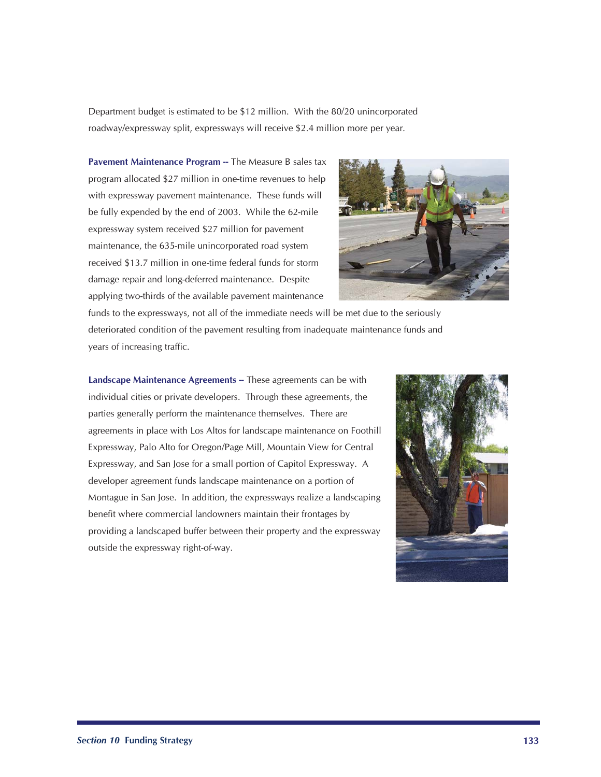Department budget is estimated to be \$12 million. With the 80/20 unincorporated roadway/expressway split, expressways will receive \$2.4 million more per year.

**Pavement Maintenance Program --** The Measure B sales tax program allocated \$27 million in one-time revenues to help with expressway pavement maintenance. These funds will be fully expended by the end of 2003. While the 62-mile expressway system received \$27 million for pavement maintenance, the 635-mile unincorporated road system received \$13.7 million in one-time federal funds for storm damage repair and long-deferred maintenance. Despite applying two-thirds of the available pavement maintenance



funds to the expressways, not all of the immediate needs will be met due to the seriously deteriorated condition of the pavement resulting from inadequate maintenance funds and years of increasing traffic.

Landscape Maintenance Agreements -- These agreements can be with individual cities or private developers. Through these agreements, the parties generally perform the maintenance themselves. There are agreements in place with Los Altos for landscape maintenance on Foothill Expressway, Palo Alto for Oregon/Page Mill, Mountain View for Central Expressway, and San Jose for a small portion of Capitol Expressway. A developer agreement funds landscape maintenance on a portion of Montague in San Jose. In addition, the expressways realize a landscaping benefit where commercial landowners maintain their frontages by providing a landscaped buffer between their property and the expressway outside the expressway right-of-way.

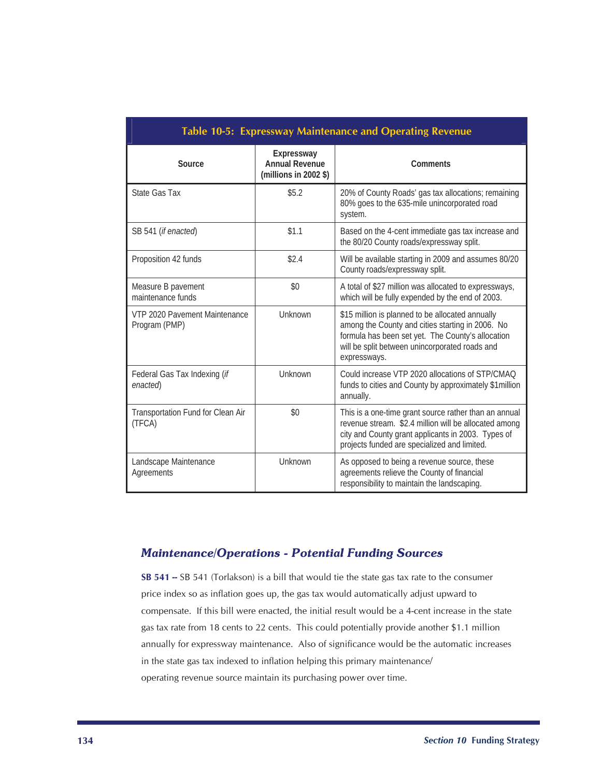| Table 10-5: Expressway Maintenance and Operating Revenue |                                                                |                                                                                                                                                                                                                             |  |
|----------------------------------------------------------|----------------------------------------------------------------|-----------------------------------------------------------------------------------------------------------------------------------------------------------------------------------------------------------------------------|--|
| Source                                                   | Expressway<br><b>Annual Revenue</b><br>(millions in 2002 $\$ ) | Comments                                                                                                                                                                                                                    |  |
| State Gas Tax                                            | \$5.2                                                          | 20% of County Roads' gas tax allocations; remaining<br>80% goes to the 635-mile unincorporated road<br>system.                                                                                                              |  |
| SB 541 ( <i>if enacted</i> )                             | \$1.1                                                          | Based on the 4-cent immediate gas tax increase and<br>the 80/20 County roads/expressway split.                                                                                                                              |  |
| Proposition 42 funds                                     | \$2.4                                                          | Will be available starting in 2009 and assumes 80/20<br>County roads/expressway split.                                                                                                                                      |  |
| Measure B pavement<br>maintenance funds                  | \$0                                                            | A total of \$27 million was allocated to expressways,<br>which will be fully expended by the end of 2003.                                                                                                                   |  |
| VTP 2020 Pavement Maintenance<br>Program (PMP)           | Unknown                                                        | \$15 million is planned to be allocated annually<br>among the County and cities starting in 2006. No<br>formula has been set yet. The County's allocation<br>will be split between unincorporated roads and<br>expressways. |  |
| Federal Gas Tax Indexing (if<br>enacted)                 | Unknown                                                        | Could increase VTP 2020 allocations of STP/CMAO<br>funds to cities and County by approximately \$1 million<br>annually.                                                                                                     |  |
| Transportation Fund for Clean Air<br>(TFCA)              | \$0                                                            | This is a one-time grant source rather than an annual<br>revenue stream. \$2.4 million will be allocated among<br>city and County grant applicants in 2003. Types of<br>projects funded are specialized and limited.        |  |
| Landscape Maintenance<br>Agreements                      | Unknown                                                        | As opposed to being a revenue source, these<br>agreements relieve the County of financial<br>responsibility to maintain the landscaping.                                                                                    |  |

## *Maintenance/Operations - Potential Funding Sources*

**SB 541 --** SB 541 (Torlakson) is a bill that would tie the state gas tax rate to the consumer price index so as inflation goes up, the gas tax would automatically adjust upward to compensate. If this bill were enacted, the initial result would be a 4-cent increase in the state gas tax rate from 18 cents to 22 cents. This could potentially provide another \$1.1 million annually for expressway maintenance. Also of significance would be the automatic increases in the state gas tax indexed to inflation helping this primary maintenance/ operating revenue source maintain its purchasing power over time.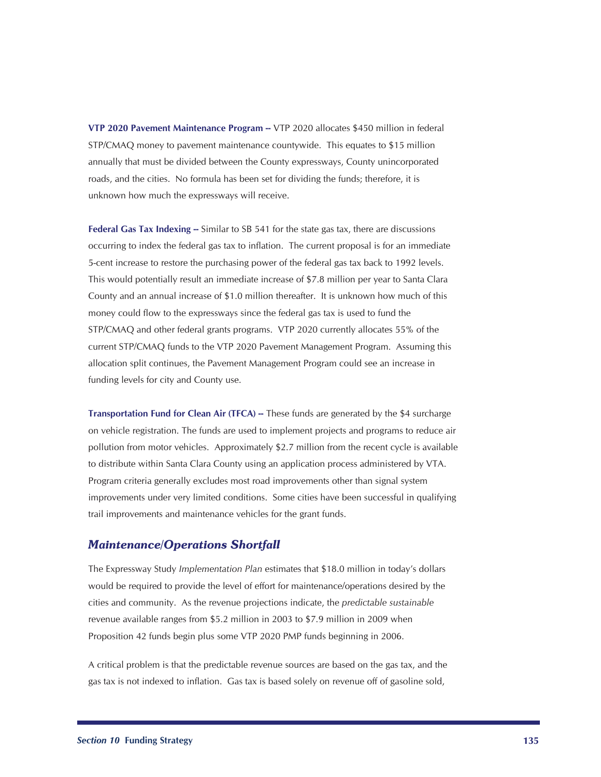**VTP 2020 Pavement Maintenance Program --** VTP 2020 allocates \$450 million in federal STP/CMAQ money to pavement maintenance countywide. This equates to \$15 million annually that must be divided between the County expressways, County unincorporated roads, and the cities. No formula has been set for dividing the funds; therefore, it is unknown how much the expressways will receive.

**Federal Gas Tax Indexing --** Similar to SB 541 for the state gas tax, there are discussions occurring to index the federal gas tax to inflation. The current proposal is for an immediate 5-cent increase to restore the purchasing power of the federal gas tax back to 1992 levels. This would potentially result an immediate increase of \$7.8 million per year to Santa Clara County and an annual increase of \$1.0 million thereafter. It is unknown how much of this money could flow to the expressways since the federal gas tax is used to fund the STP/CMAQ and other federal grants programs. VTP 2020 currently allocates 55% of the current STP/CMAQ funds to the VTP 2020 Pavement Management Program. Assuming this allocation split continues, the Pavement Management Program could see an increase in funding levels for city and County use.

**Transportation Fund for Clean Air (TFCA) --** These funds are generated by the \$4 surcharge on vehicle registration. The funds are used to implement projects and programs to reduce air pollution from motor vehicles. Approximately \$2.7 million from the recent cycle is available to distribute within Santa Clara County using an application process administered by VTA. Program criteria generally excludes most road improvements other than signal system improvements under very limited conditions. Some cities have been successful in qualifying trail improvements and maintenance vehicles for the grant funds.

#### *Maintenance/Operations Shortfall*

The Expressway Study *Implementation Plan* estimates that \$18.0 million in today's dollars would be required to provide the level of effort for maintenance/operations desired by the cities and community. As the revenue projections indicate, the *predictable sustainable* revenue available ranges from \$5.2 million in 2003 to \$7.9 million in 2009 when Proposition 42 funds begin plus some VTP 2020 PMP funds beginning in 2006.

A critical problem is that the predictable revenue sources are based on the gas tax, and the gas tax is not indexed to inflation. Gas tax is based solely on revenue off of gasoline sold,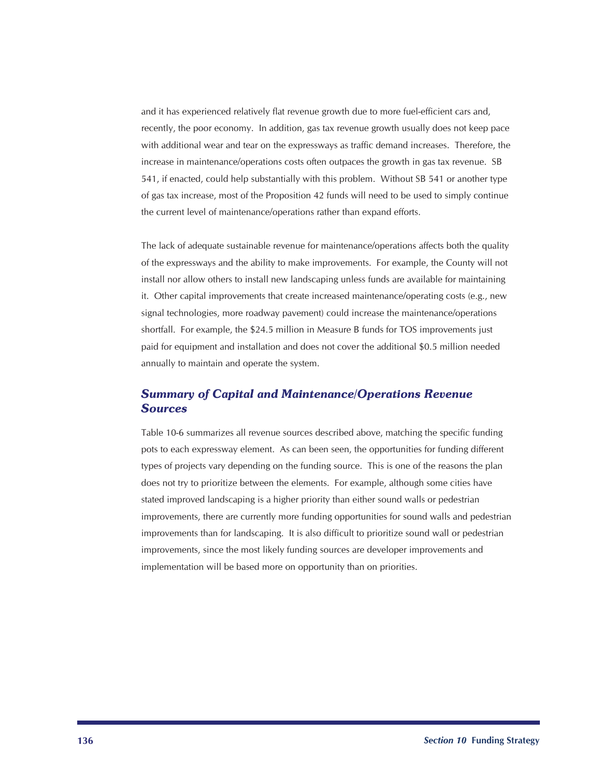and it has experienced relatively flat revenue growth due to more fuel-efficient cars and, recently, the poor economy. In addition, gas tax revenue growth usually does not keep pace with additional wear and tear on the expressways as traffic demand increases. Therefore, the increase in maintenance/operations costs often outpaces the growth in gas tax revenue. SB 541, if enacted, could help substantially with this problem. Without SB 541 or another type of gas tax increase, most of the Proposition 42 funds will need to be used to simply continue the current level of maintenance/operations rather than expand efforts.

The lack of adequate sustainable revenue for maintenance/operations affects both the quality of the expressways and the ability to make improvements. For example, the County will not install nor allow others to install new landscaping unless funds are available for maintaining it. Other capital improvements that create increased maintenance/operating costs (e.g., new signal technologies, more roadway pavement) could increase the maintenance/operations shortfall. For example, the \$24.5 million in Measure B funds for TOS improvements just paid for equipment and installation and does not cover the additional \$0.5 million needed annually to maintain and operate the system.

## *Summary of Capital and Maintenance/Operations Revenue Sources*

Table 10-6 summarizes all revenue sources described above, matching the specific funding pots to each expressway element. As can been seen, the opportunities for funding different types of projects vary depending on the funding source. This is one of the reasons the plan does not try to prioritize between the elements. For example, although some cities have stated improved landscaping is a higher priority than either sound walls or pedestrian improvements, there are currently more funding opportunities for sound walls and pedestrian improvements than for landscaping. It is also difficult to prioritize sound wall or pedestrian improvements, since the most likely funding sources are developer improvements and implementation will be based more on opportunity than on priorities.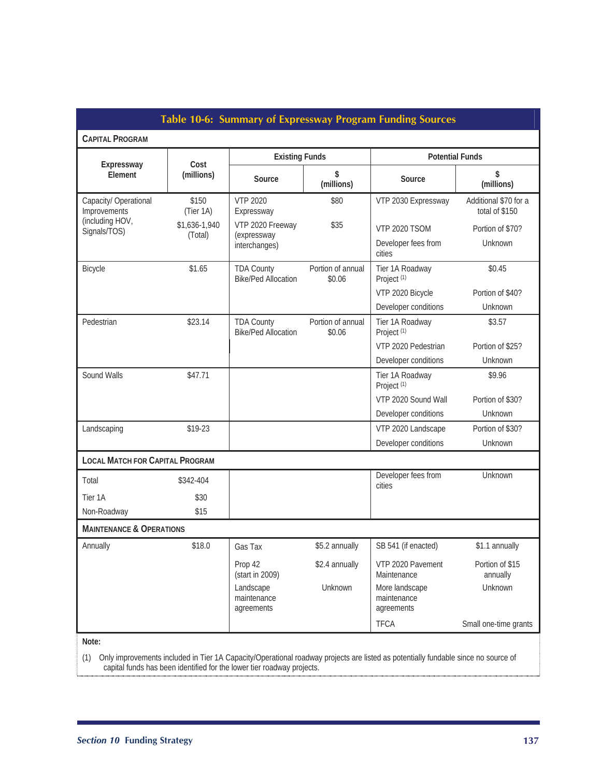| Table 10-6: Summary of Expressway Program Funding Sources                                                                                |                    |                                                 |                             |                                             |                                         |
|------------------------------------------------------------------------------------------------------------------------------------------|--------------------|-------------------------------------------------|-----------------------------|---------------------------------------------|-----------------------------------------|
| <b>CAPITAL PROGRAM</b>                                                                                                                   |                    |                                                 |                             |                                             |                                         |
| Expressway<br>Element                                                                                                                    | Cost               | <b>Existing Funds</b>                           |                             | <b>Potential Funds</b>                      |                                         |
|                                                                                                                                          | (millions)         | Source                                          | \$<br>(millions)            | Source                                      | \$<br>(millions)                        |
| Capacity/ Operational<br>Improvements                                                                                                    | \$150<br>(Tier 1A) | <b>VTP 2020</b><br>Expressway                   | \$80                        | VTP 2030 Expressway                         | Additional \$70 for a<br>total of \$150 |
| (including HOV,<br>Signals/TOS)                                                                                                          | \$1,636-1,940      | VTP 2020 Freeway                                | \$35                        | <b>VTP 2020 TSOM</b>                        | Portion of \$70?                        |
|                                                                                                                                          | (Total)            | (expressway<br>interchanges)                    |                             | Developer fees from<br>cities               | Unknown                                 |
| Bicycle                                                                                                                                  | \$1.65             | <b>TDA County</b><br><b>Bike/Ped Allocation</b> | Portion of annual<br>\$0.06 | Tier 1A Roadway<br>Project <sup>(1)</sup>   | \$0.45                                  |
|                                                                                                                                          |                    |                                                 |                             | VTP 2020 Bicycle                            | Portion of \$40?                        |
|                                                                                                                                          |                    |                                                 |                             | Developer conditions                        | Unknown                                 |
| Pedestrian                                                                                                                               | \$23.14            | <b>TDA County</b><br><b>Bike/Ped Allocation</b> | Portion of annual<br>\$0.06 | Tier 1A Roadway<br>Project <sup>(1)</sup>   | \$3.57                                  |
|                                                                                                                                          |                    |                                                 |                             | VTP 2020 Pedestrian                         | Portion of \$25?                        |
|                                                                                                                                          |                    |                                                 |                             | Developer conditions                        | Unknown                                 |
| Sound Walls                                                                                                                              | \$47.71            |                                                 |                             | Tier 1A Roadway<br>Project <sup>(1)</sup>   | \$9.96                                  |
|                                                                                                                                          |                    |                                                 |                             | VTP 2020 Sound Wall                         | Portion of \$30?                        |
|                                                                                                                                          |                    |                                                 |                             | Developer conditions                        | Unknown                                 |
| Landscaping                                                                                                                              | \$19-23            |                                                 |                             | VTP 2020 Landscape                          | Portion of \$30?                        |
|                                                                                                                                          |                    |                                                 |                             | Developer conditions                        | Unknown                                 |
| <b>LOCAL MATCH FOR CAPITAL PROGRAM</b>                                                                                                   |                    |                                                 |                             |                                             |                                         |
| Total                                                                                                                                    | \$342-404          |                                                 |                             | Developer fees from<br>cities               | Unknown                                 |
| Tier 1A                                                                                                                                  | \$30               |                                                 |                             |                                             |                                         |
| Non-Roadway                                                                                                                              | \$15               |                                                 |                             |                                             |                                         |
| <b>MAINTENANCE &amp; OPERATIONS</b>                                                                                                      |                    |                                                 |                             |                                             |                                         |
| Annually                                                                                                                                 | \$18.0             | Gas Tax                                         | \$5.2 annually              | SB 541 (if enacted)                         | \$1.1 annually                          |
|                                                                                                                                          |                    | Prop 42<br>(start in 2009)                      | \$2.4 annually              | VTP 2020 Pavement<br>Maintenance            | Portion of \$15<br>annually             |
|                                                                                                                                          |                    | Landscape<br>maintenance<br>agreements          | Unknown                     | More landscape<br>maintenance<br>agreements | Unknown                                 |
|                                                                                                                                          |                    |                                                 |                             | <b>TFCA</b>                                 | Small one-time grants                   |
| Note:                                                                                                                                    |                    |                                                 |                             |                                             |                                         |
| Only improvements included in Tier 1A Capacity/Operational roadway projects are listed as potentially fundable since no source of<br>(1) |                    |                                                 |                             |                                             |                                         |

capital funds has been identified for the lower tier roadway projects.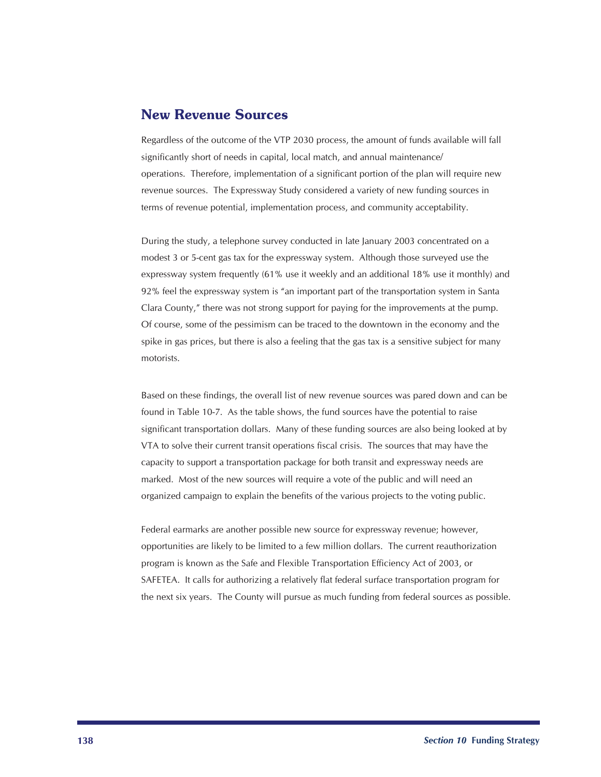## New Revenue Sources

Regardless of the outcome of the VTP 2030 process, the amount of funds available will fall significantly short of needs in capital, local match, and annual maintenance/ operations. Therefore, implementation of a significant portion of the plan will require new revenue sources. The Expressway Study considered a variety of new funding sources in terms of revenue potential, implementation process, and community acceptability.

During the study, a telephone survey conducted in late January 2003 concentrated on a modest 3 or 5-cent gas tax for the expressway system. Although those surveyed use the expressway system frequently (61% use it weekly and an additional 18% use it monthly) and 92% feel the expressway system is "an important part of the transportation system in Santa Clara County," there was not strong support for paying for the improvements at the pump. Of course, some of the pessimism can be traced to the downtown in the economy and the spike in gas prices, but there is also a feeling that the gas tax is a sensitive subject for many motorists.

Based on these findings, the overall list of new revenue sources was pared down and can be found in Table 10-7. As the table shows, the fund sources have the potential to raise significant transportation dollars. Many of these funding sources are also being looked at by VTA to solve their current transit operations fiscal crisis. The sources that may have the capacity to support a transportation package for both transit and expressway needs are marked. Most of the new sources will require a vote of the public and will need an organized campaign to explain the benefits of the various projects to the voting public.

Federal earmarks are another possible new source for expressway revenue; however, opportunities are likely to be limited to a few million dollars. The current reauthorization program is known as the Safe and Flexible Transportation Efficiency Act of 2003, or SAFETEA. It calls for authorizing a relatively flat federal surface transportation program for the next six years. The County will pursue as much funding from federal sources as possible.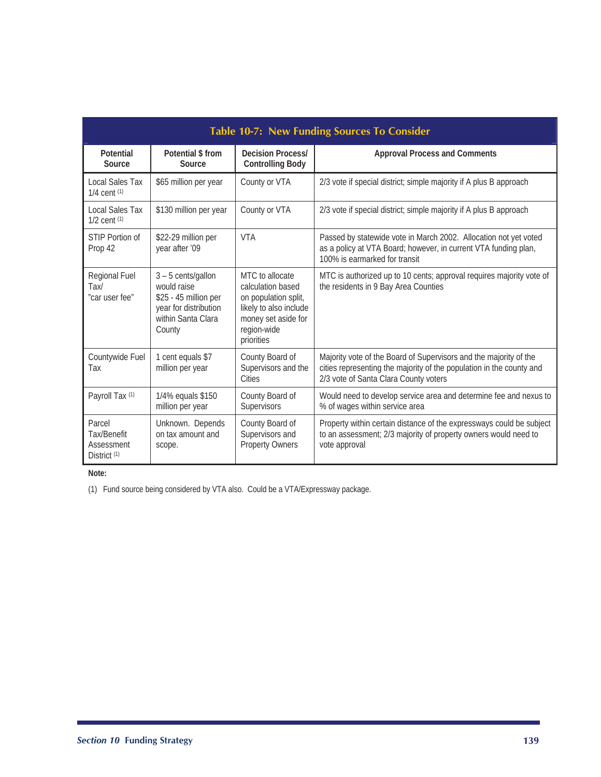| <b>Table 10-7: New Funding Sources To Consider</b>             |                                                                                                                       |                                                                                                                                            |                                                                                                                                                                                    |
|----------------------------------------------------------------|-----------------------------------------------------------------------------------------------------------------------|--------------------------------------------------------------------------------------------------------------------------------------------|------------------------------------------------------------------------------------------------------------------------------------------------------------------------------------|
| Potential<br>Source                                            | Potential \$ from<br>Source                                                                                           | <b>Decision Process/</b><br><b>Controlling Body</b>                                                                                        | <b>Approval Process and Comments</b>                                                                                                                                               |
| Local Sales Tax<br>$1/4$ cent $(1)$                            | \$65 million per year                                                                                                 | County or VTA                                                                                                                              | 2/3 vote if special district; simple majority if A plus B approach                                                                                                                 |
| Local Sales Tax<br>$1/2$ cent $(1)$                            | \$130 million per year                                                                                                | County or VTA                                                                                                                              | 2/3 vote if special district; simple majority if A plus B approach                                                                                                                 |
| STIP Portion of<br>Prop 42                                     | \$22-29 million per<br>year after '09                                                                                 | <b>VTA</b>                                                                                                                                 | Passed by statewide vote in March 2002. Allocation not yet voted<br>as a policy at VTA Board; however, in current VTA funding plan,<br>100% is earmarked for transit               |
| Regional Fuel<br>Tax/<br>"car user fee"                        | $3 - 5$ cents/gallon<br>would raise<br>\$25 - 45 million per<br>year for distribution<br>within Santa Clara<br>County | MTC to allocate<br>calculation based<br>on population split,<br>likely to also include<br>money set aside for<br>region-wide<br>priorities | MTC is authorized up to 10 cents; approval requires majority vote of<br>the residents in 9 Bay Area Counties                                                                       |
| Countywide Fuel<br>Tax                                         | 1 cent equals \$7<br>million per year                                                                                 | County Board of<br>Supervisors and the<br>Cities                                                                                           | Majority vote of the Board of Supervisors and the majority of the<br>cities representing the majority of the population in the county and<br>2/3 vote of Santa Clara County voters |
| Payroll Tax (1)                                                | 1/4% equals \$150<br>million per year                                                                                 | County Board of<br>Supervisors                                                                                                             | Would need to develop service area and determine fee and nexus to<br>% of wages within service area                                                                                |
| Parcel<br>Tax/Benefit<br>Assessment<br>District <sup>(1)</sup> | Unknown. Depends<br>on tax amount and<br>scope.                                                                       | County Board of<br>Supervisors and<br><b>Property Owners</b>                                                                               | Property within certain distance of the expressways could be subject<br>to an assessment; 2/3 majority of property owners would need to<br>vote approval                           |

**Note:** 

(1) Fund source being considered by VTA also. Could be a VTA/Expressway package.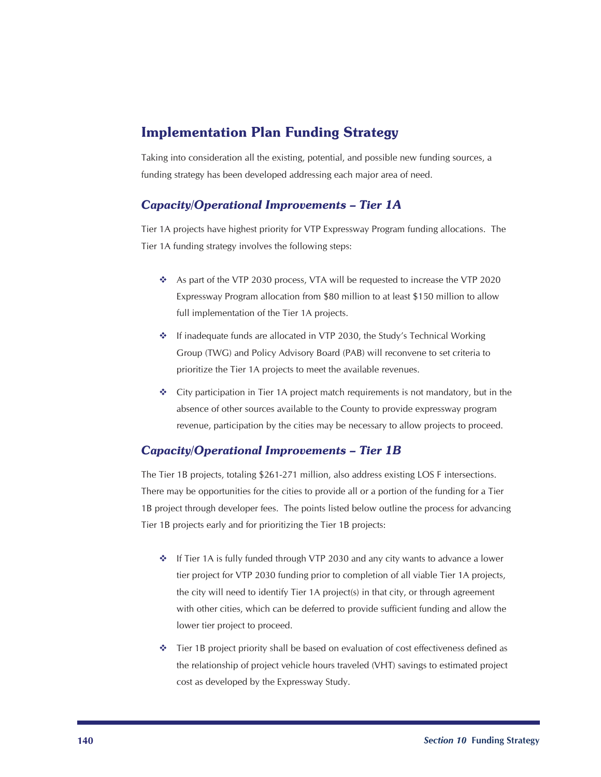## Implementation Plan Funding Strategy

Taking into consideration all the existing, potential, and possible new funding sources, a funding strategy has been developed addressing each major area of need.

## *Capacity/Operational Improvements – Tier 1A*

Tier 1A projects have highest priority for VTP Expressway Program funding allocations. The Tier 1A funding strategy involves the following steps:

- \* As part of the VTP 2030 process, VTA will be requested to increase the VTP 2020 Expressway Program allocation from \$80 million to at least \$150 million to allow full implementation of the Tier 1A projects.
- If inadequate funds are allocated in VTP 2030, the Study's Technical Working Group (TWG) and Policy Advisory Board (PAB) will reconvene to set criteria to prioritize the Tier 1A projects to meet the available revenues.
- $\div$  City participation in Tier 1A project match requirements is not mandatory, but in the absence of other sources available to the County to provide expressway program revenue, participation by the cities may be necessary to allow projects to proceed.

#### *Capacity/Operational Improvements – Tier 1B*

The Tier 1B projects, totaling \$261-271 million, also address existing LOS F intersections. There may be opportunities for the cities to provide all or a portion of the funding for a Tier 1B project through developer fees. The points listed below outline the process for advancing Tier 1B projects early and for prioritizing the Tier 1B projects:

- $\triangle$  If Tier 1A is fully funded through VTP 2030 and any city wants to advance a lower tier project for VTP 2030 funding prior to completion of all viable Tier 1A projects, the city will need to identify Tier 1A project(s) in that city, or through agreement with other cities, which can be deferred to provide sufficient funding and allow the lower tier project to proceed.
- $\bullet$  Tier 1B project priority shall be based on evaluation of cost effectiveness defined as the relationship of project vehicle hours traveled (VHT) savings to estimated project cost as developed by the Expressway Study.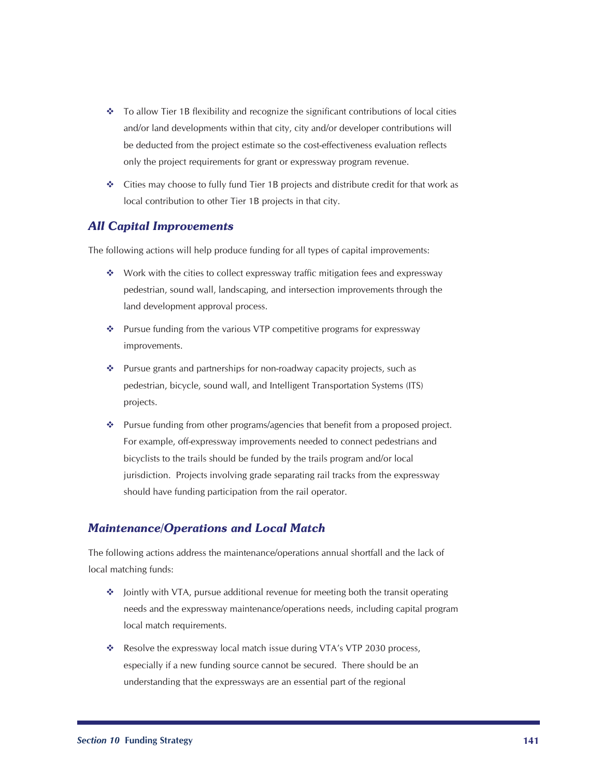- $\bullet$  To allow Tier 1B flexibility and recognize the significant contributions of local cities and/or land developments within that city, city and/or developer contributions will be deducted from the project estimate so the cost-effectiveness evaluation reflects only the project requirements for grant or expressway program revenue.
- $\div$  Cities may choose to fully fund Tier 1B projects and distribute credit for that work as local contribution to other Tier 1B projects in that city.

#### *All Capital Improvements*

The following actions will help produce funding for all types of capital improvements:

- ◆ Work with the cities to collect expressway traffic mitigation fees and expressway pedestrian, sound wall, landscaping, and intersection improvements through the land development approval process.
- ❖ Pursue funding from the various VTP competitive programs for expressway improvements.
- Pursue grants and partnerships for non-roadway capacity projects, such as pedestrian, bicycle, sound wall, and Intelligent Transportation Systems (ITS) projects.
- Pursue funding from other programs/agencies that benefit from a proposed project. For example, off-expressway improvements needed to connect pedestrians and bicyclists to the trails should be funded by the trails program and/or local jurisdiction. Projects involving grade separating rail tracks from the expressway should have funding participation from the rail operator.

#### *Maintenance/Operations and Local Match*

The following actions address the maintenance/operations annual shortfall and the lack of local matching funds:

- ❖ Jointly with VTA, pursue additional revenue for meeting both the transit operating needs and the expressway maintenance/operations needs, including capital program local match requirements.
- \* Resolve the expressway local match issue during VTA's VTP 2030 process, especially if a new funding source cannot be secured. There should be an understanding that the expressways are an essential part of the regional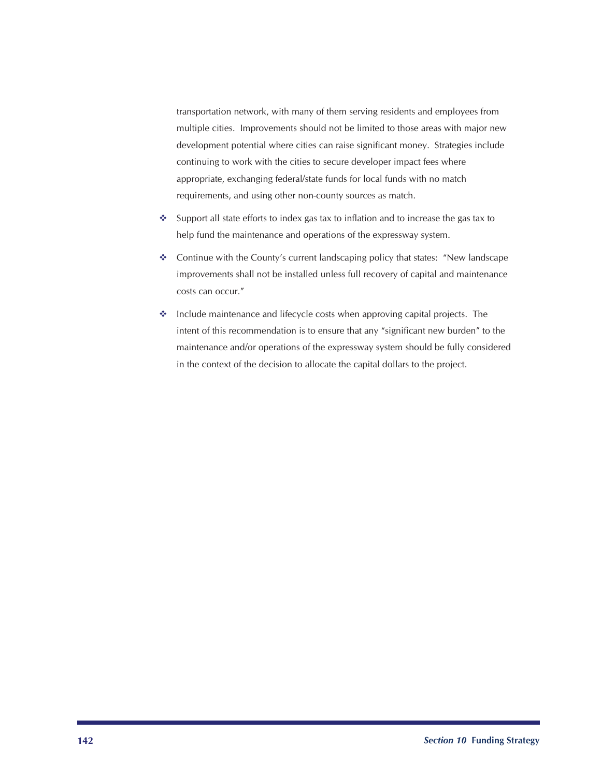transportation network, with many of them serving residents and employees from multiple cities. Improvements should not be limited to those areas with major new development potential where cities can raise significant money. Strategies include continuing to work with the cities to secure developer impact fees where appropriate, exchanging federal/state funds for local funds with no match requirements, and using other non-county sources as match.

- Support all state efforts to index gas tax to inflation and to increase the gas tax to help fund the maintenance and operations of the expressway system.
- Continue with the County's current landscaping policy that states: "New landscape improvements shall not be installed unless full recovery of capital and maintenance costs can occur."
- Include maintenance and lifecycle costs when approving capital projects. The intent of this recommendation is to ensure that any "significant new burden" to the maintenance and/or operations of the expressway system should be fully considered in the context of the decision to allocate the capital dollars to the project.